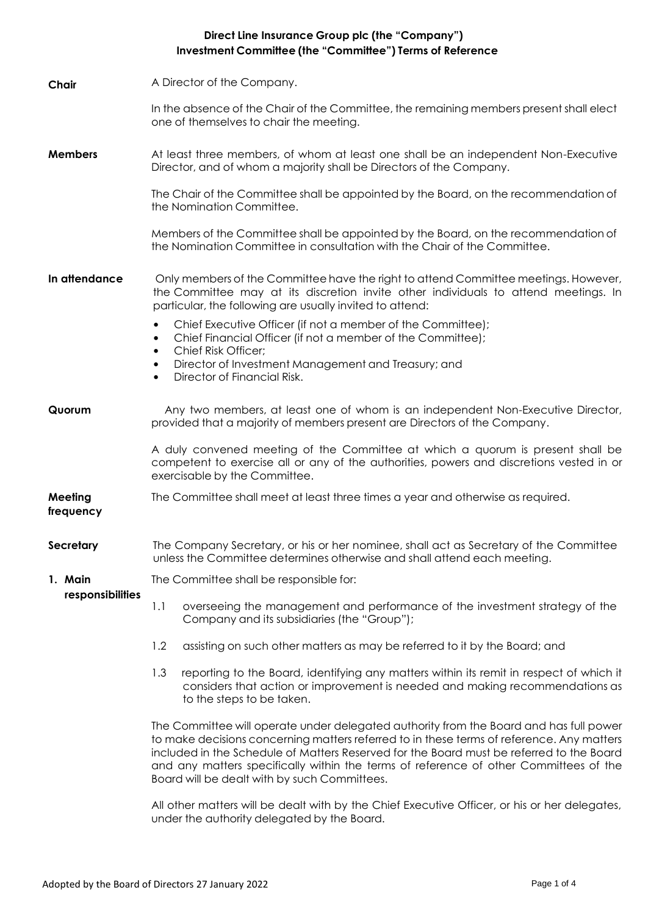## **Direct Line Insurance Group plc (the "Company") Investment Committee (the "Committee") Terms of Reference**

| Chair                       | A Director of the Company.                                                                                                                                                                                                                                                                                                                                                                                               |
|-----------------------------|--------------------------------------------------------------------------------------------------------------------------------------------------------------------------------------------------------------------------------------------------------------------------------------------------------------------------------------------------------------------------------------------------------------------------|
|                             | In the absence of the Chair of the Committee, the remaining members present shall elect<br>one of themselves to chair the meeting.                                                                                                                                                                                                                                                                                       |
| <b>Members</b>              | At least three members, of whom at least one shall be an independent Non-Executive<br>Director, and of whom a majority shall be Directors of the Company.                                                                                                                                                                                                                                                                |
|                             | The Chair of the Committee shall be appointed by the Board, on the recommendation of<br>the Nomination Committee.                                                                                                                                                                                                                                                                                                        |
|                             | Members of the Committee shall be appointed by the Board, on the recommendation of<br>the Nomination Committee in consultation with the Chair of the Committee.                                                                                                                                                                                                                                                          |
| In attendance               | Only members of the Committee have the right to attend Committee meetings. However,<br>the Committee may at its discretion invite other individuals to attend meetings. In<br>particular, the following are usually invited to attend:                                                                                                                                                                                   |
|                             | Chief Executive Officer (if not a member of the Committee);<br>$\bullet$<br>Chief Financial Officer (if not a member of the Committee);<br>$\bullet$                                                                                                                                                                                                                                                                     |
|                             | <b>Chief Risk Officer;</b><br>$\bullet$<br>Director of Investment Management and Treasury; and<br>$\bullet$<br>Director of Financial Risk.<br>$\bullet$                                                                                                                                                                                                                                                                  |
| Quorum                      | Any two members, at least one of whom is an independent Non-Executive Director,<br>provided that a majority of members present are Directors of the Company.                                                                                                                                                                                                                                                             |
|                             | A duly convened meeting of the Committee at which a quorum is present shall be<br>competent to exercise all or any of the authorities, powers and discretions vested in or<br>exercisable by the Committee.                                                                                                                                                                                                              |
| Meeting<br>frequency        | The Committee shall meet at least three times a year and otherwise as required.                                                                                                                                                                                                                                                                                                                                          |
| Secretary                   | The Company Secretary, or his or her nominee, shall act as Secretary of the Committee<br>unless the Committee determines otherwise and shall attend each meeting.                                                                                                                                                                                                                                                        |
| 1. Main<br>responsibilities | The Committee shall be responsible for:                                                                                                                                                                                                                                                                                                                                                                                  |
|                             | 1.1<br>overseeing the management and performance of the investment strategy of the<br>Company and its subsidiaries (the "Group");                                                                                                                                                                                                                                                                                        |
|                             | 1.2<br>assisting on such other matters as may be referred to it by the Board; and                                                                                                                                                                                                                                                                                                                                        |
|                             | reporting to the Board, identifying any matters within its remit in respect of which it<br>1.3<br>considers that action or improvement is needed and making recommendations as<br>to the steps to be taken.                                                                                                                                                                                                              |
|                             | The Committee will operate under delegated authority from the Board and has full power<br>to make decisions concerning matters referred to in these terms of reference. Any matters<br>included in the Schedule of Matters Reserved for the Board must be referred to the Board<br>and any matters specifically within the terms of reference of other Committees of the<br>Board will be dealt with by such Committees. |
|                             |                                                                                                                                                                                                                                                                                                                                                                                                                          |

All other matters will be dealt with by the Chief Executive Officer, or his or her delegates, under the authority delegated by the Board.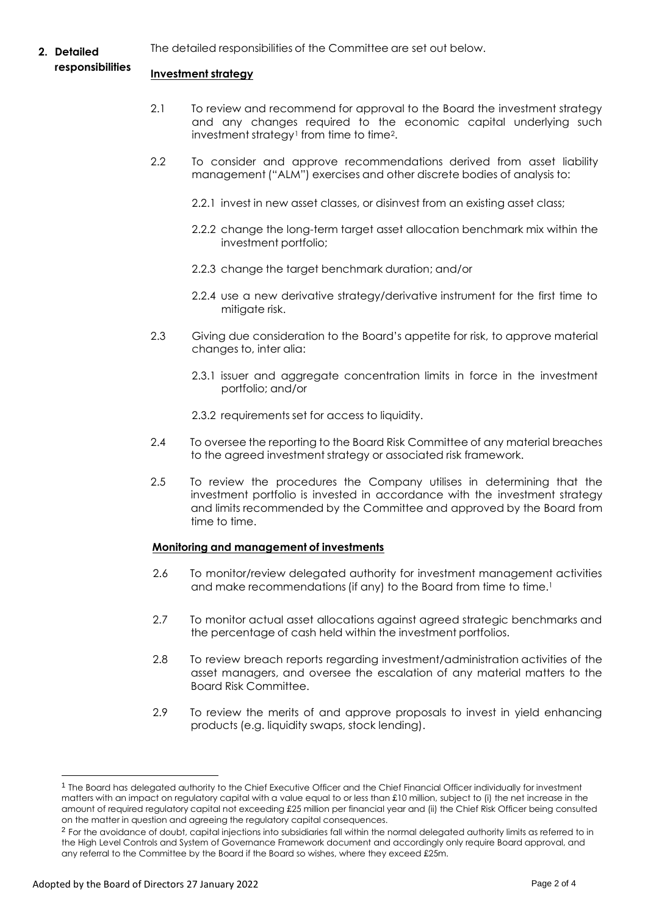**2. Detailed**  The detailed responsibilities of the Committee are set out below.

## **responsibilities**

## **Investment strategy**

- 2.1 To review and recommend for approval to the Board the investment strategy and any changes required to the economic capital underlying such investment strategy<sup>1</sup> from time to time<sup>2</sup>.
- 2.2 To consider and approve recommendations derived from asset liability management ("ALM") exercises and other discrete bodies of analysis to:
	- 2.2.1 invest in new asset classes, or disinvest from an existing asset class;
	- 2.2.2 change the long-term target asset allocation benchmark mix within the investment portfolio;
	- 2.2.3 change the target benchmark duration; and/or
	- 2.2.4 use a new derivative strategy/derivative instrument for the first time to mitigate risk.
- 2.3 Giving due consideration to the Board's appetite for risk, to approve material changes to, inter alia:
	- 2.3.1 issuer and aggregate concentration limits in force in the investment portfolio; and/or
	- 2.3.2 requirements set for access to liquidity.
- 2.4 To oversee the reporting to the Board Risk Committee of any material breaches to the agreed investment strategy or associated risk framework.
- 2.5 To review the procedures the Company utilises in determining that the investment portfolio is invested in accordance with the investment strategy and limits recommended by the Committee and approved by the Board from time to time.

## **Monitoring and management of investments**

- 2.6 To monitor/review delegated authority for investment management activities and make recommendations (if any) to the Board from time to time.<sup>1</sup>
- 2.7 To monitor actual asset allocations against agreed strategic benchmarks and the percentage of cash held within the investment portfolios.
- 2.8 To review breach reports regarding investment/administration activities of the asset managers, and oversee the escalation of any material matters to the Board Risk Committee.
- 2.9 To review the merits of and approve proposals to invest in yield enhancing products (e.g. liquidity swaps, stock lending).

<sup>&</sup>lt;sup>1</sup> The Board has delegated authority to the Chief Executive Officer and the Chief Financial Officer individually for investment matters with an impact on regulatory capital with a value equal to or less than £10 million, subject to (i) the net increase in the amount of required regulatory capital not exceeding £25 million per financial year and (ii) the Chief Risk Officer being consulted on the matter in question and agreeing the regulatory capital consequences.

 $^2$  For the avoidance of doubt, capital injections into subsidiaries fall within the normal delegated authority limits as referred to in the High Level Controls and System of Governance Framework document and accordingly only require Board approval, and any referral to the Committee by the Board if the Board so wishes, where they exceed £25m.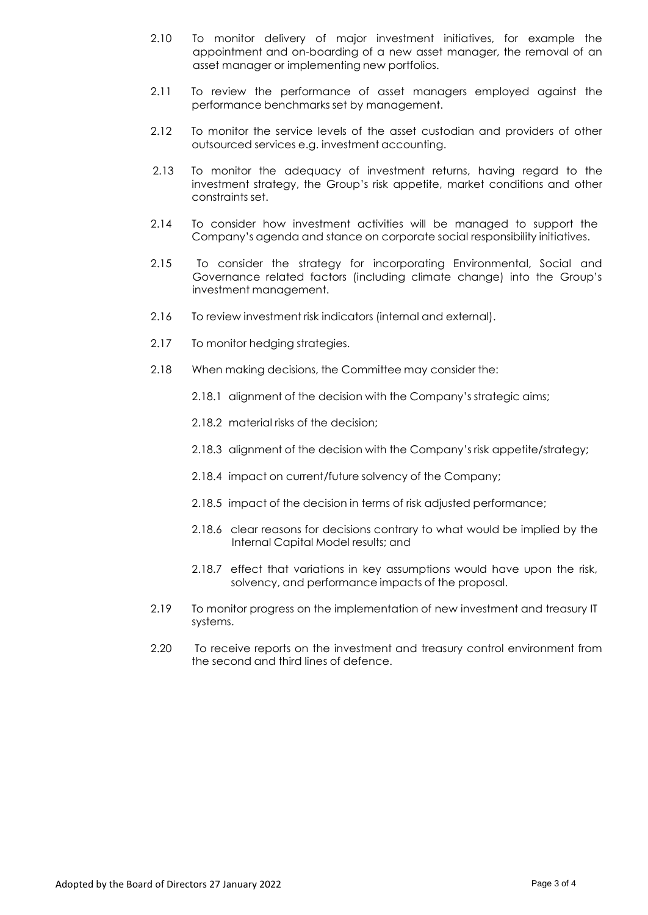- 2.10 To monitor delivery of major investment initiatives, for example the appointment and on-boarding of a new asset manager, the removal of an asset manager or implementing new portfolios.
- 2.11 To review the performance of asset managers employed against the performance benchmarks set by management.
- 2.12 To monitor the service levels of the asset custodian and providers of other outsourced services e.g. investment accounting.
- 2.13 To monitor the adequacy of investment returns, having regard to the investment strategy, the Group's risk appetite, market conditions and other constraints set.
- 2.14 To consider how investment activities will be managed to support the Company's agenda and stance on corporate social responsibility initiatives.
- 2.15 To consider the strategy for incorporating Environmental, Social and Governance related factors (including climate change) into the Group's investment management.
- 2.16 To review investment risk indicators (internal and external).
- 2.17 To monitor hedging strategies.
- 2.18 When making decisions, the Committee may consider the:
	- 2.18.1 alignment of the decision with the Company's strategic aims;
	- 2.18.2 material risks of the decision;
	- 2.18.3 alignment of the decision with the Company's risk appetite/strategy;
	- 2.18.4 impact on current/future solvency of the Company;
	- 2.18.5 impact of the decision in terms of risk adjusted performance;
	- 2.18.6 clear reasons for decisions contrary to what would be implied by the Internal Capital Model results; and
	- 2.18.7 effect that variations in key assumptions would have upon the risk, solvency, and performance impacts of the proposal.
- 2.19 To monitor progress on the implementation of new investment and treasury IT systems.
- 2.20 To receive reports on the investment and treasury control environment from the second and third lines of defence.